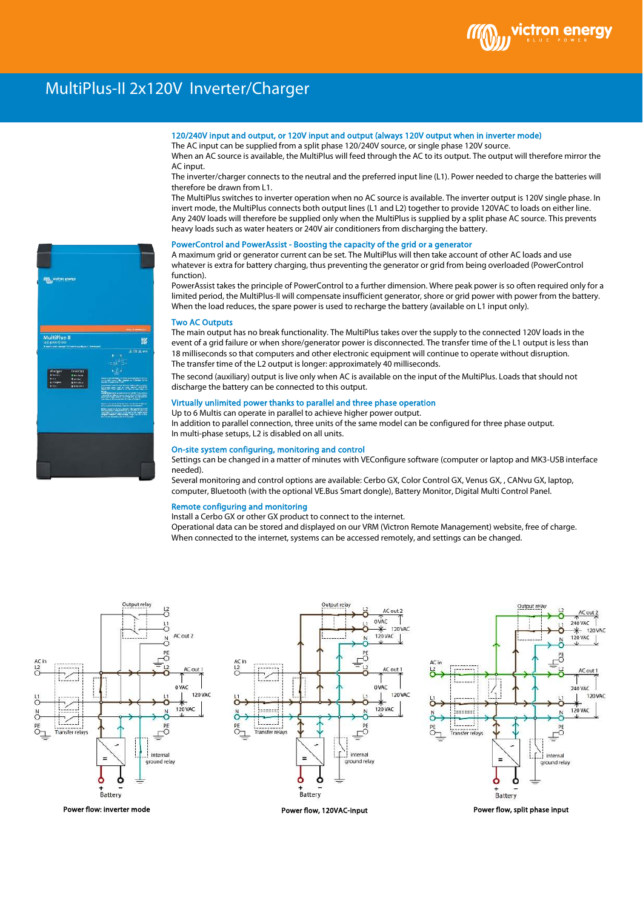

# MultiPlus-II 2x120V Inverter/Charger

# 120/240V input and output, or 120V input and output (always 120V output when in inverter mode)

The AC input can be supplied from a split phase 120/240V source, or single phase 120V source. When an AC source is available, the MultiPlus will feed through the AC to its output. The output will therefore mirror the AC input.

The inverter/charger connects to the neutral and the preferred input line (L1). Power needed to charge the batteries will therefore be drawn from L1.

The MultiPlus switches to inverter operation when no AC source is available. The inverter output is 120V single phase. In invert mode, the MultiPlus connects both output lines (L1 and L2) together to provide 120VAC to loads on either line. Any 240V loads will therefore be supplied only when the MultiPlus is supplied by a split phase AC source. This prevents heavy loads such as water heaters or 240V air conditioners from discharging the battery.

### PowerControl and PowerAssist - Boosting the capacity of the grid or a generator

A maximum grid or generator current can be set. The MultiPlus will then take account of other AC loads and use whatever is extra for battery charging, thus preventing the generator or grid from being overloaded (PowerControl function).

PowerAssist takes the principle of PowerControl to a further dimension. Where peak power is so often required only for a limited period, the MultiPlus-II will compensate insufficient generator, shore or grid power with power from the battery. When the load reduces, the spare power is used to recharge the battery (available on L1 input only).

#### Two AC Outputs

The main output has no break functionality. The MultiPlus takes over the supply to the connected 120V loads in the event of a grid failure or when shore/generator power is disconnected. The transfer time of the L1 output is less than 18 milliseconds so that computers and other electronic equipment will continue to operate without disruption. The transfer time of the L2 output is longer: approximately 40 milliseconds.

The second (auxiliary) output is live only when AC is available on the input of the MultiPlus. Loads that should not discharge the battery can be connected to this output.

## Virtually unlimited power thanks to parallel and three phase operation

Up to 6 Multis can operate in parallel to achieve higher power output. In addition to parallel connection, three units of the same model can be configured for three phase output. In multi-phase setups, L2 is disabled on all units.

#### On-site system configuring, monitoring and control

Settings can be changed in a matter of minutes with VEConfigure software (computer or laptop and MK3-USB interface needed).

Several monitoring and control options are available: Cerbo GX, Color Control GX, Venus GX, , CANvu GX, laptop, computer, Bluetooth (with the optional VE.Bus Smart dongle), Battery Monitor, Digital Multi Control Panel.

#### Remote configuring and monitoring

Install a Cerbo GX or other GX product to connect to the internet.

Operational data can be stored and displayed on our VRM (Victron Remote Management) website, free of charge. When connected to the internet, systems can be accessed remotely, and settings can be changed.







Power flow, split phase input